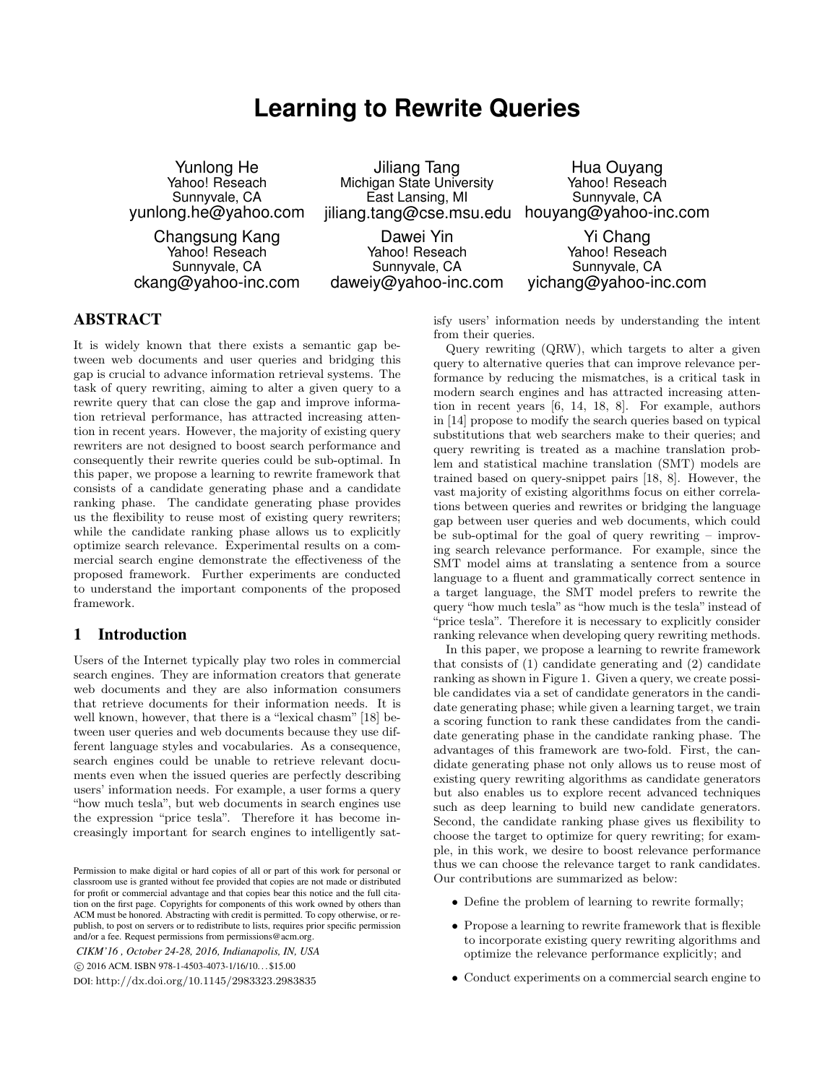# **Learning to Rewrite Queries**

Yunlong He Yahoo! Reseach Sunnyvale, CA yunlong.he@yahoo.com

Changsung Kang Yahoo! Reseach Sunnyvale, CA ckang@yahoo-inc.com

Jiliang Tang Michigan State University East Lansing, MI jiliang.tang@cse.msu.edu

Dawei Yin Yahoo! Reseach Sunnyvale, CA daweiy@yahoo-inc.com

Hua Ouyang Yahoo! Reseach Sunnyvale, CA houyang@yahoo-inc.com

Yi Chang Yahoo! Reseach Sunnyvale, CA yichang@yahoo-inc.com

# ABSTRACT

It is widely known that there exists a semantic gap between web documents and user queries and bridging this gap is crucial to advance information retrieval systems. The task of query rewriting, aiming to alter a given query to a rewrite query that can close the gap and improve information retrieval performance, has attracted increasing attention in recent years. However, the majority of existing query rewriters are not designed to boost search performance and consequently their rewrite queries could be sub-optimal. In this paper, we propose a learning to rewrite framework that consists of a candidate generating phase and a candidate ranking phase. The candidate generating phase provides us the flexibility to reuse most of existing query rewriters; while the candidate ranking phase allows us to explicitly optimize search relevance. Experimental results on a commercial search engine demonstrate the effectiveness of the proposed framework. Further experiments are conducted to understand the important components of the proposed framework.

# 1 Introduction

Users of the Internet typically play two roles in commercial search engines. They are information creators that generate web documents and they are also information consumers that retrieve documents for their information needs. It is well known, however, that there is a "lexical chasm" [18] between user queries and web documents because they use different language styles and vocabularies. As a consequence, search engines could be unable to retrieve relevant documents even when the issued queries are perfectly describing users' information needs. For example, a user forms a query "how much tesla", but web documents in search engines use the expression "price tesla". Therefore it has become increasingly important for search engines to intelligently sat-

*CIKM'16 , October 24-28, 2016, Indianapolis, IN, USA* c 2016 ACM. ISBN 978-1-4503-4073-1/16/10. . . \$15.00 DOI: http://dx.doi.org/10.1145/2983323.2983835

isfy users' information needs by understanding the intent from their queries.

Query rewriting (QRW), which targets to alter a given query to alternative queries that can improve relevance performance by reducing the mismatches, is a critical task in modern search engines and has attracted increasing attention in recent years [6, 14, 18, 8]. For example, authors in [14] propose to modify the search queries based on typical substitutions that web searchers make to their queries; and query rewriting is treated as a machine translation problem and statistical machine translation (SMT) models are trained based on query-snippet pairs [18, 8]. However, the vast majority of existing algorithms focus on either correlations between queries and rewrites or bridging the language gap between user queries and web documents, which could be sub-optimal for the goal of query rewriting – improving search relevance performance. For example, since the SMT model aims at translating a sentence from a source language to a fluent and grammatically correct sentence in a target language, the SMT model prefers to rewrite the query "how much tesla" as "how much is the tesla" instead of "price tesla". Therefore it is necessary to explicitly consider ranking relevance when developing query rewriting methods.

In this paper, we propose a learning to rewrite framework that consists of (1) candidate generating and (2) candidate ranking as shown in Figure 1. Given a query, we create possible candidates via a set of candidate generators in the candidate generating phase; while given a learning target, we train a scoring function to rank these candidates from the candidate generating phase in the candidate ranking phase. The advantages of this framework are two-fold. First, the candidate generating phase not only allows us to reuse most of existing query rewriting algorithms as candidate generators but also enables us to explore recent advanced techniques such as deep learning to build new candidate generators. Second, the candidate ranking phase gives us flexibility to choose the target to optimize for query rewriting; for example, in this work, we desire to boost relevance performance thus we can choose the relevance target to rank candidates. Our contributions are summarized as below:

- Define the problem of learning to rewrite formally;
- Propose a learning to rewrite framework that is flexible to incorporate existing query rewriting algorithms and optimize the relevance performance explicitly; and
- Conduct experiments on a commercial search engine to

Permission to make digital or hard copies of all or part of this work for personal or classroom use is granted without fee provided that copies are not made or distributed for profit or commercial advantage and that copies bear this notice and the full citation on the first page. Copyrights for components of this work owned by others than ACM must be honored. Abstracting with credit is permitted. To copy otherwise, or republish, to post on servers or to redistribute to lists, requires prior specific permission and/or a fee. Request permissions from permissions@acm.org.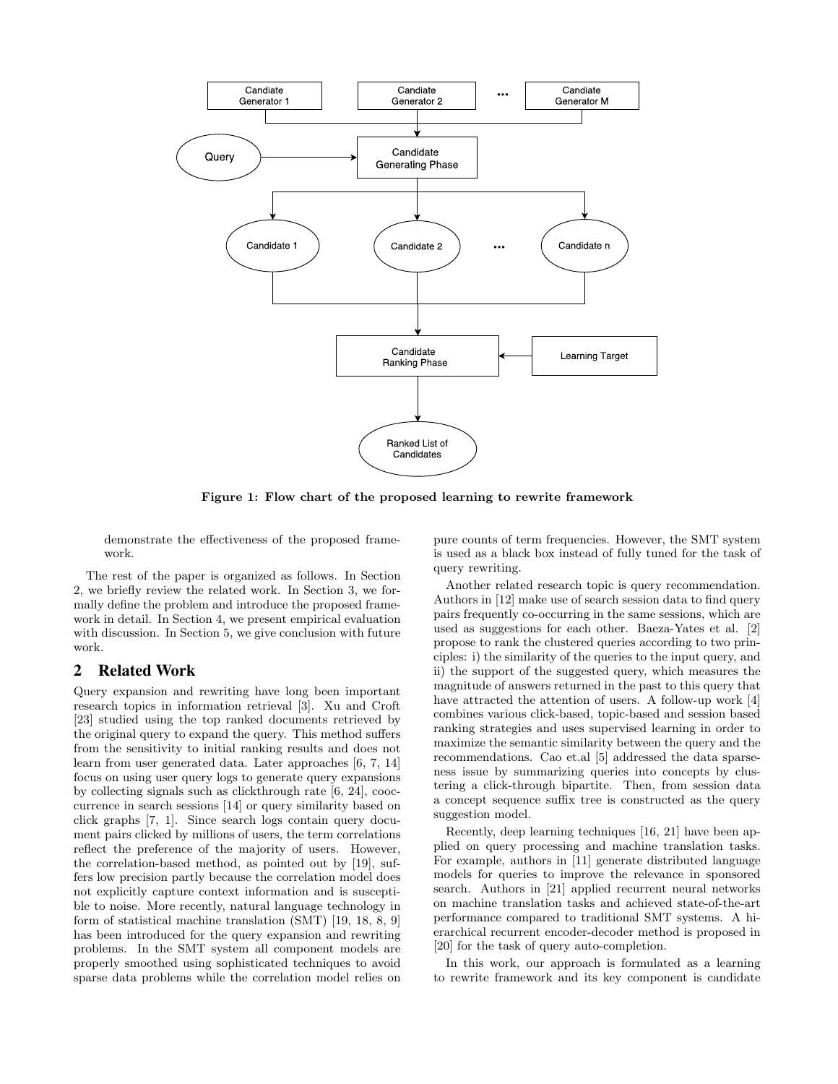

Figure 1: Flow chart of the proposed learning to rewrite framework

demonstrate the effectiveness of the proposed framework.

The rest of the paper is organized as follows. In Section 2, we briefly review the related work. In Section 3, we formally define the problem and introduce the proposed framework in detail. In Section 4, we present empirical evaluation with discussion. In Section 5, we give conclusion with future work.

# 2 Related Work

Query expansion and rewriting have long been important research topics in information retrieval [3]. Xu and Croft [23] studied using the top ranked documents retrieved by the original query to expand the query. This method suffers from the sensitivity to initial ranking results and does not learn from user generated data. Later approaches [6, 7, 14] focus on using user query logs to generate query expansions by collecting signals such as clickthrough rate [6, 24], cooccurrence in search sessions [14] or query similarity based on click graphs [7, 1]. Since search logs contain query document pairs clicked by millions of users, the term correlations reflect the preference of the majority of users. However, the correlation-based method, as pointed out by [19], suffers low precision partly because the correlation model does not explicitly capture context information and is susceptible to noise. More recently, natural language technology in form of statistical machine translation (SMT) [19, 18, 8, 9] has been introduced for the query expansion and rewriting problems. In the SMT system all component models are properly smoothed using sophisticated techniques to avoid sparse data problems while the correlation model relies on pure counts of term frequencies. However, the SMT system is used as a black box instead of fully tuned for the task of query rewriting.

Another related research topic is query recommendation. Authors in [12] make use of search session data to find query pairs frequently co-occurring in the same sessions, which are used as suggestions for each other. Baeza-Yates et al. [2] propose to rank the clustered queries according to two principles: i) the similarity of the queries to the input query, and ii) the support of the suggested query, which measures the magnitude of answers returned in the past to this query that have attracted the attention of users. A follow-up work [4] combines various click-based, topic-based and session based ranking strategies and uses supervised learning in order to maximize the semantic similarity between the query and the recommendations. Cao et.al [5] addressed the data sparseness issue by summarizing queries into concepts by clustering a click-through bipartite. Then, from session data a concept sequence suffix tree is constructed as the query suggestion model.

Recently, deep learning techniques [16, 21] have been applied on query processing and machine translation tasks. For example, authors in [11] generate distributed language models for queries to improve the relevance in sponsored search. Authors in [21] applied recurrent neural networks on machine translation tasks and achieved state-of-the-art performance compared to traditional SMT systems. A hierarchical recurrent encoder-decoder method is proposed in [20] for the task of query auto-completion.

In this work, our approach is formulated as a learning to rewrite framework and its key component is candidate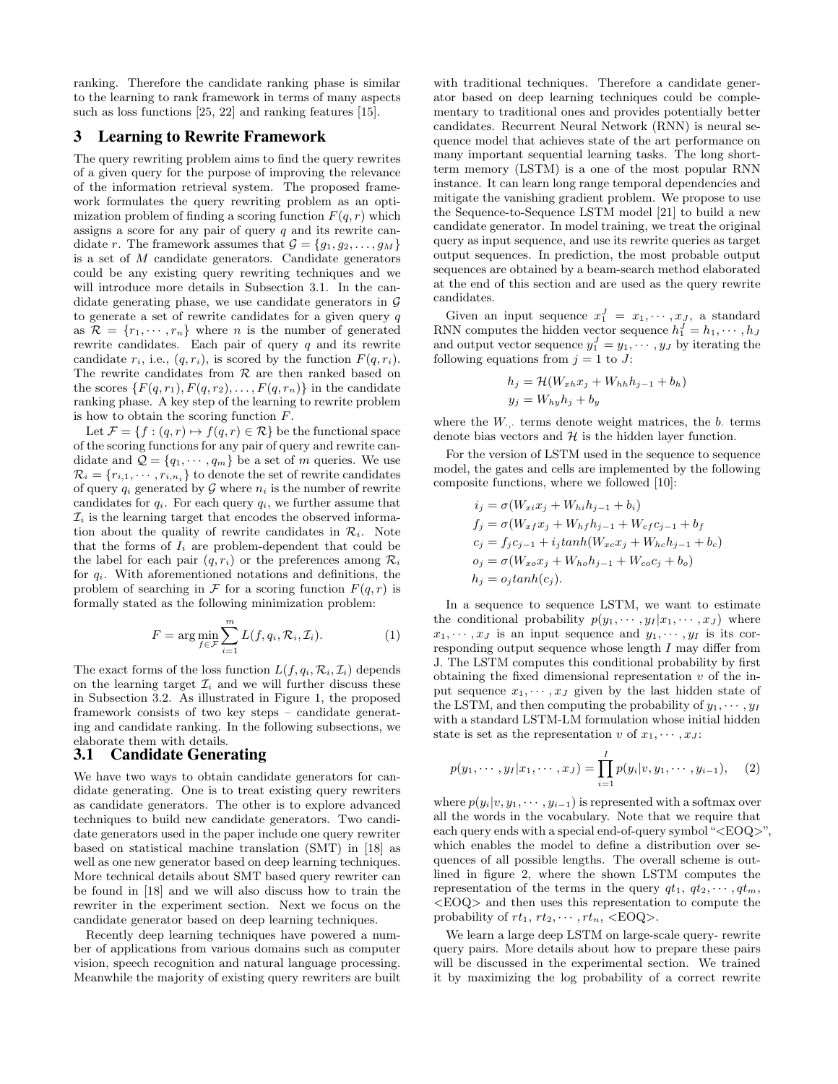ranking. Therefore the candidate ranking phase is similar to the learning to rank framework in terms of many aspects such as loss functions [25, 22] and ranking features [15].

## 3 Learning to Rewrite Framework

The query rewriting problem aims to find the query rewrites of a given query for the purpose of improving the relevance of the information retrieval system. The proposed framework formulates the query rewriting problem as an optimization problem of finding a scoring function  $F(q, r)$  which assigns a score for any pair of query  $q$  and its rewrite candidate r. The framework assumes that  $\mathcal{G} = \{g_1, g_2, \ldots, g_M\}$ is a set of M candidate generators. Candidate generators could be any existing query rewriting techniques and we will introduce more details in Subsection 3.1. In the candidate generating phase, we use candidate generators in  $\mathcal G$ to generate a set of rewrite candidates for a given query  $q$ as  $\mathcal{R} = \{r_1, \dots, r_n\}$  where *n* is the number of generated rewrite candidates. Each pair of query  $q$  and its rewrite candidate  $r_i$ , i.e.,  $(q, r_i)$ , is scored by the function  $F(q, r_i)$ . The rewrite candidates from  ${\mathcal R}$  are then ranked based on the scores  $\{F(q, r_1), F(q, r_2), \ldots, F(q, r_n)\}\$ in the candidate ranking phase. A key step of the learning to rewrite problem is how to obtain the scoring function  $F$ .

Let  $\mathcal{F} = \{f : (q, r) \mapsto f(q, r) \in \mathcal{R}\}\$ be the functional space of the scoring functions for any pair of query and rewrite candidate and  $\mathcal{Q} = \{q_1, \dots, q_m\}$  be a set of m queries. We use  $\mathcal{R}_i = \{r_{i,1}, \cdots, r_{i,n_i}\}\$ to denote the set of rewrite candidates of query  $q_i$  generated by  $G$  where  $n_i$  is the number of rewrite candidates for  $q_i$ . For each query  $q_i$ , we further assume that  $\mathcal{I}_i$  is the learning target that encodes the observed information about the quality of rewrite candidates in  $\mathcal{R}_i$ . Note that the forms of  $I_i$  are problem-dependent that could be the label for each pair  $(q, r_i)$  or the preferences among  $\mathcal{R}_i$ for  $q_i$ . With aforementioned notations and definitions, the problem of searching in  $\mathcal F$  for a scoring function  $F(q, r)$  is formally stated as the following minimization problem:

$$
F = \arg\min_{f \in \mathcal{F}} \sum_{i=1}^{m} L(f, q_i, \mathcal{R}_i, \mathcal{I}_i).
$$
 (1)

The exact forms of the loss function  $L(f, q_i, \mathcal{R}_i, \mathcal{I}_i)$  depends on the learning target  $\mathcal{I}_i$  and we will further discuss these in Subsection 3.2. As illustrated in Figure 1, the proposed framework consists of two key steps – candidate generating and candidate ranking. In the following subsections, we elaborate them with details.

# 3.1 Candidate Generating

We have two ways to obtain candidate generators for candidate generating. One is to treat existing query rewriters as candidate generators. The other is to explore advanced techniques to build new candidate generators. Two candidate generators used in the paper include one query rewriter based on statistical machine translation (SMT) in [18] as well as one new generator based on deep learning techniques. More technical details about SMT based query rewriter can be found in [18] and we will also discuss how to train the rewriter in the experiment section. Next we focus on the candidate generator based on deep learning techniques.

Recently deep learning techniques have powered a number of applications from various domains such as computer vision, speech recognition and natural language processing. Meanwhile the majority of existing query rewriters are built with traditional techniques. Therefore a candidate generator based on deep learning techniques could be complementary to traditional ones and provides potentially better candidates. Recurrent Neural Network (RNN) is neural sequence model that achieves state of the art performance on many important sequential learning tasks. The long shortterm memory (LSTM) is a one of the most popular RNN instance. It can learn long range temporal dependencies and mitigate the vanishing gradient problem. We propose to use the Sequence-to-Sequence LSTM model [21] to build a new candidate generator. In model training, we treat the original query as input sequence, and use its rewrite queries as target output sequences. In prediction, the most probable output sequences are obtained by a beam-search method elaborated at the end of this section and are used as the query rewrite candidates.

Given an input sequence  $x_1^J = x_1, \cdots, x_J$ , a standard RNN computes the hidden vector sequence  $h_1^J = h_1, \cdots, h_J$ and output vector sequence  $y_1^J = y_1, \dots, y_J$  by iterating the following equations from  $j = 1$  to J:

$$
h_j = \mathcal{H}(W_{xh}x_j + W_{hh}h_{j-1} + b_h)
$$
  

$$
y_j = W_{hy}h_j + b_y
$$

where the  $W_{\cdot,\cdot}$  terms denote weight matrices, the  $b$  terms denote bias vectors and  $H$  is the hidden layer function.

For the version of LSTM used in the sequence to sequence model, the gates and cells are implemented by the following composite functions, where we followed [10]:

$$
i_j = \sigma(W_{xi}x_j + W_{hi}h_{j-1} + b_i)
$$
  
\n
$$
f_j = \sigma(W_{xf}x_j + W_{hf}h_{j-1} + W_{cf}c_{j-1} + b_f
$$
  
\n
$$
c_j = f_jc_{j-1} + i_j \tanh(W_{xc}x_j + W_{hc}h_{j-1} + b_c)
$$
  
\n
$$
o_j = \sigma(W_{xo}x_j + W_{ho}h_{j-1} + W_{co}c_j + b_o)
$$
  
\n
$$
h_j = o_j \tanh(c_j).
$$

In a sequence to sequence LSTM, we want to estimate the conditional probability  $p(y_1, \dots, y_I | x_1, \dots, x_J)$  where  $x_1, \dots, x_J$  is an input sequence and  $y_1, \dots, y_I$  is its corresponding output sequence whose length I may differ from J. The LSTM computes this conditional probability by first obtaining the fixed dimensional representation  $v$  of the input sequence  $x_1, \dots, x_J$  given by the last hidden state of the LSTM, and then computing the probability of  $y_1, \dots, y_I$ with a standard LSTM-LM formulation whose initial hidden state is set as the representation v of  $x_1, \dots, x_J$ :

$$
p(y_1, \cdots, y_I | x_1, \cdots, x_J) = \prod_{i=1}^I p(y_i | v, y_1, \cdots, y_{i-1}), \quad (2)
$$

where  $p(y_i|v, y_1, \dots, y_{i-1})$  is represented with a softmax over all the words in the vocabulary. Note that we require that each query ends with a special end-of-query symbol " $\langle EOO\rangle$ ", which enables the model to define a distribution over sequences of all possible lengths. The overall scheme is outlined in figure 2, where the shown LSTM computes the representation of the terms in the query  $qt_1, qt_2, \cdots, qt_m$ , <EOQ> and then uses this representation to compute the probability of  $rt_1, rt_2, \cdots, rt_n, \langle EOQ \rangle$ .

We learn a large deep LSTM on large-scale query- rewrite query pairs. More details about how to prepare these pairs will be discussed in the experimental section. We trained it by maximizing the log probability of a correct rewrite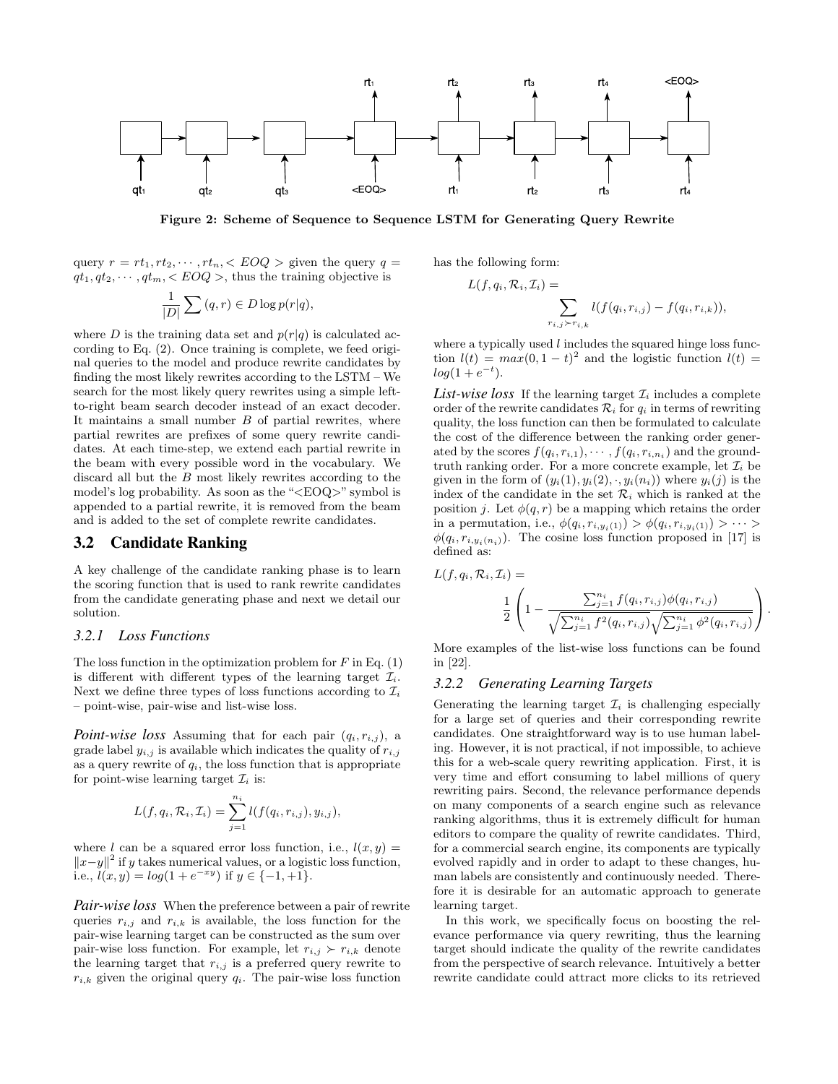

Figure 2: Scheme of Sequence to Sequence LSTM for Generating Query Rewrite

query  $r = rt_1, rt_2, \cdots, rt_n, \langle EOQ \rangle)$  given the query  $q =$  $qt_1, qt_2, \cdots, qt_m, \langle EOQ \rangle$ , thus the training objective is

$$
\frac{1}{|D|}\sum(q,r)\in D\log p(r|q),
$$

where D is the training data set and  $p(r|q)$  is calculated according to Eq. (2). Once training is complete, we feed original queries to the model and produce rewrite candidates by finding the most likely rewrites according to the LSTM – We search for the most likely query rewrites using a simple leftto-right beam search decoder instead of an exact decoder. It maintains a small number  $B$  of partial rewrites, where partial rewrites are prefixes of some query rewrite candidates. At each time-step, we extend each partial rewrite in the beam with every possible word in the vocabulary. We discard all but the B most likely rewrites according to the model's log probability. As soon as the "<EOQ>" symbol is appended to a partial rewrite, it is removed from the beam and is added to the set of complete rewrite candidates.

# 3.2 Candidate Ranking

A key challenge of the candidate ranking phase is to learn the scoring function that is used to rank rewrite candidates from the candidate generating phase and next we detail our solution.

#### *3.2.1 Loss Functions*

The loss function in the optimization problem for  $F$  in Eq.  $(1)$ is different with different types of the learning target  $\mathcal{I}_i$ . Next we define three types of loss functions according to  $\mathcal{I}_i$ – point-wise, pair-wise and list-wise loss.

*Point-wise loss* Assuming that for each pair  $(q_i, r_{i,j})$ , a grade label  $y_{i,j}$  is available which indicates the quality of  $r_{i,j}$ as a query rewrite of  $q_i$ , the loss function that is appropriate for point-wise learning target  $\mathcal{I}_i$  is:

$$
L(f, q_i, \mathcal{R}_i, \mathcal{I}_i) = \sum_{j=1}^{n_i} l(f(q_i, r_{i,j}), y_{i,j}),
$$

where l can be a squared error loss function, i.e.,  $l(x, y) =$  $||x-y||^2$  if y takes numerical values, or a logistic loss function, i.e.,  $l(x, y) = log(1 + e^{-xy})$  if  $y \in \{-1, +1\}$ .

*Pair-wise loss* When the preference between a pair of rewrite queries  $r_{i,j}$  and  $r_{i,k}$  is available, the loss function for the pair-wise learning target can be constructed as the sum over pair-wise loss function. For example, let  $r_{i,j} \succ r_{i,k}$  denote the learning target that  $r_{i,j}$  is a preferred query rewrite to  $r_{i,k}$  given the original query  $q_i$ . The pair-wise loss function

has the following form:

 $L(j)$ 

$$
f, q_i, \mathcal{R}_i, \mathcal{I}_i) = \sum_{r_{i,j} \succ r_{i,k}} l(f(q_i, r_{i,j}) - f(q_i, r_{i,k})),
$$

where a typically used  $l$  includes the squared hinge loss function  $l(t) = max(0, 1 - t)^2$  and the logistic function  $l(t) =$  $log(1 + e^{-t}).$ 

*List-wise loss* If the learning target  $\mathcal{I}_i$  includes a complete order of the rewrite candidates  $\mathcal{R}_i$  for  $q_i$  in terms of rewriting quality, the loss function can then be formulated to calculate the cost of the difference between the ranking order generated by the scores  $f(q_i, r_{i,1}), \cdots, f(q_i, r_{i,n_i})$  and the groundtruth ranking order. For a more concrete example, let  $\mathcal{I}_i$  be given in the form of  $(y_i(1), y_i(2), \cdot, y_i(n_i))$  where  $y_i(j)$  is the index of the candidate in the set  $\mathcal{R}_i$  which is ranked at the position j. Let  $\phi(q, r)$  be a mapping which retains the order in a permutation, i.e.,  $\phi(q_i, r_{i, y_i(1)}) > \phi(q_i, r_{i, y_i(1)}) > \cdots >$  $\phi(q_i, r_{i,y_i(n_i)})$ . The cosine loss function proposed in [17] is defined as:

$$
L(f, q_i, \mathcal{R}_i, \mathcal{I}_i) = \frac{1}{2} \left( 1 - \frac{\sum_{j=1}^{n_i} f(q_i, r_{i,j}) \phi(q_i, r_{i,j})}{\sqrt{\sum_{j=1}^{n_i} f^2(q_i, r_{i,j})} \sqrt{\sum_{j=1}^{n_i} \phi^2(q_i, r_{i,j})}} \right).
$$

More examples of the list-wise loss functions can be found in [22].

## *3.2.2 Generating Learning Targets*

Generating the learning target  $\mathcal{I}_i$  is challenging especially for a large set of queries and their corresponding rewrite candidates. One straightforward way is to use human labeling. However, it is not practical, if not impossible, to achieve this for a web-scale query rewriting application. First, it is very time and effort consuming to label millions of query rewriting pairs. Second, the relevance performance depends on many components of a search engine such as relevance ranking algorithms, thus it is extremely difficult for human editors to compare the quality of rewrite candidates. Third, for a commercial search engine, its components are typically evolved rapidly and in order to adapt to these changes, human labels are consistently and continuously needed. Therefore it is desirable for an automatic approach to generate learning target.

In this work, we specifically focus on boosting the relevance performance via query rewriting, thus the learning target should indicate the quality of the rewrite candidates from the perspective of search relevance. Intuitively a better rewrite candidate could attract more clicks to its retrieved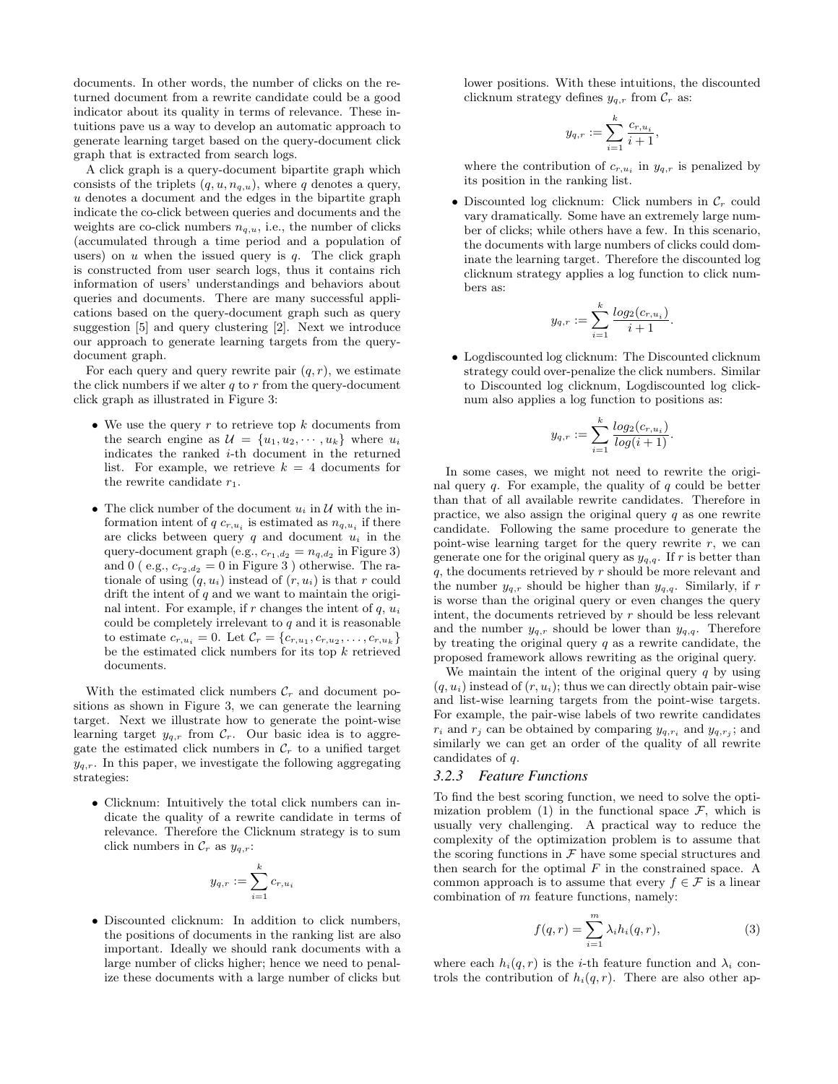documents. In other words, the number of clicks on the returned document from a rewrite candidate could be a good indicator about its quality in terms of relevance. These intuitions pave us a way to develop an automatic approach to generate learning target based on the query-document click graph that is extracted from search logs.

A click graph is a query-document bipartite graph which consists of the triplets  $(q, u, n_{q,u})$ , where q denotes a query, u denotes a document and the edges in the bipartite graph indicate the co-click between queries and documents and the weights are co-click numbers  $n_{q,u}$ , i.e., the number of clicks (accumulated through a time period and a population of users) on  $u$  when the issued query is  $q$ . The click graph is constructed from user search logs, thus it contains rich information of users' understandings and behaviors about queries and documents. There are many successful applications based on the query-document graph such as query suggestion [5] and query clustering [2]. Next we introduce our approach to generate learning targets from the querydocument graph.

For each query and query rewrite pair  $(q, r)$ , we estimate the click numbers if we alter  $q$  to  $r$  from the query-document click graph as illustrated in Figure 3:

- We use the query  $r$  to retrieve top  $k$  documents from the search engine as  $\mathcal{U} = \{u_1, u_2, \dots, u_k\}$  where  $u_i$ indicates the ranked  $i$ -th document in the returned list. For example, we retrieve  $k = 4$  documents for the rewrite candidate  $r_1$ .
- The click number of the document  $u_i$  in  $\mathcal U$  with the information intent of  $q c_{r,u_i}$  is estimated as  $n_{q,u_i}$  if there are clicks between query  $q$  and document  $u_i$  in the query-document graph (e.g.,  $c_{r_1,d_2} = n_{q,d_2}$  in Figure 3) and 0 ( e.g.,  $c_{r_2,d_2} = 0$  in Figure 3 ) otherwise. The rationale of using  $(q, u_i)$  instead of  $(r, u_i)$  is that r could drift the intent of  $q$  and we want to maintain the original intent. For example, if r changes the intent of  $q$ ,  $u_i$ could be completely irrelevant to  $q$  and it is reasonable to estimate  $c_{r,u_i} = 0$ . Let  $C_r = \{c_{r,u_1}, c_{r,u_2}, \ldots, c_{r,u_k}\}\$ be the estimated click numbers for its top  $k$  retrieved documents.

With the estimated click numbers  $\mathcal{C}_r$  and document positions as shown in Figure 3, we can generate the learning target. Next we illustrate how to generate the point-wise learning target  $y_{q,r}$  from  $\mathcal{C}_r$ . Our basic idea is to aggregate the estimated click numbers in  $\mathcal{C}_r$  to a unified target  $y_{q,r}$ . In this paper, we investigate the following aggregating strategies:

• Clicknum: Intuitively the total click numbers can indicate the quality of a rewrite candidate in terms of relevance. Therefore the Clicknum strategy is to sum click numbers in  $\mathcal{C}_r$  as  $y_{q,r}$ :

$$
y_{q,r} := \sum_{i=1}^k c_{r,u_i}
$$

• Discounted clicknum: In addition to click numbers, the positions of documents in the ranking list are also important. Ideally we should rank documents with a large number of clicks higher; hence we need to penalize these documents with a large number of clicks but lower positions. With these intuitions, the discounted clicknum strategy defines  $y_{q,r}$  from  $\mathcal{C}_r$  as:

$$
y_{q,r} := \sum_{i=1}^{k} \frac{c_{r,u_i}}{i+1},
$$

where the contribution of  $c_{r,u_i}$  in  $y_{q,r}$  is penalized by its position in the ranking list.

• Discounted log clicknum: Click numbers in  $\mathcal{C}_r$  could vary dramatically. Some have an extremely large number of clicks; while others have a few. In this scenario, the documents with large numbers of clicks could dominate the learning target. Therefore the discounted log clicknum strategy applies a log function to click numbers as:

$$
y_{q,r} := \sum_{i=1}^k \frac{\log_2(c_{r,u_i})}{i+1}.
$$

• Logdiscounted log clicknum: The Discounted clicknum strategy could over-penalize the click numbers. Similar to Discounted log clicknum, Logdiscounted log clicknum also applies a log function to positions as:

$$
y_{q,r} := \sum_{i=1}^{k} \frac{\log_2(c_{r,u_i})}{\log(i+1)}.
$$

In some cases, we might not need to rewrite the original query  $q$ . For example, the quality of  $q$  could be better than that of all available rewrite candidates. Therefore in practice, we also assign the original query  $q$  as one rewrite candidate. Following the same procedure to generate the point-wise learning target for the query rewrite  $r$ , we can generate one for the original query as  $y_{q,q}$ . If r is better than  $q$ , the documents retrieved by  $r$  should be more relevant and the number  $y_{q,r}$  should be higher than  $y_{q,q}$ . Similarly, if r is worse than the original query or even changes the query intent, the documents retrieved by r should be less relevant and the number  $y_{q,r}$  should be lower than  $y_{q,q}$ . Therefore by treating the original query  $q$  as a rewrite candidate, the proposed framework allows rewriting as the original query.

We maintain the intent of the original query  $q$  by using  $(q, u_i)$  instead of  $(r, u_i)$ ; thus we can directly obtain pair-wise and list-wise learning targets from the point-wise targets. For example, the pair-wise labels of two rewrite candidates  $r_i$  and  $r_j$  can be obtained by comparing  $y_{q,r_i}$  and  $y_{q,r_j}$ ; and similarly we can get an order of the quality of all rewrite candidates of q.

#### *3.2.3 Feature Functions*

To find the best scoring function, we need to solve the optimization problem (1) in the functional space  $\mathcal{F}$ , which is usually very challenging. A practical way to reduce the complexity of the optimization problem is to assume that the scoring functions in  $\mathcal F$  have some special structures and then search for the optimal  $F$  in the constrained space. A common approach is to assume that every  $f \in \mathcal{F}$  is a linear combination of  $m$  feature functions, namely:

$$
f(q,r) = \sum_{i=1}^{m} \lambda_i h_i(q,r),
$$
\n(3)

where each  $h_i(q, r)$  is the *i*-th feature function and  $\lambda_i$  controls the contribution of  $h_i(q, r)$ . There are also other ap-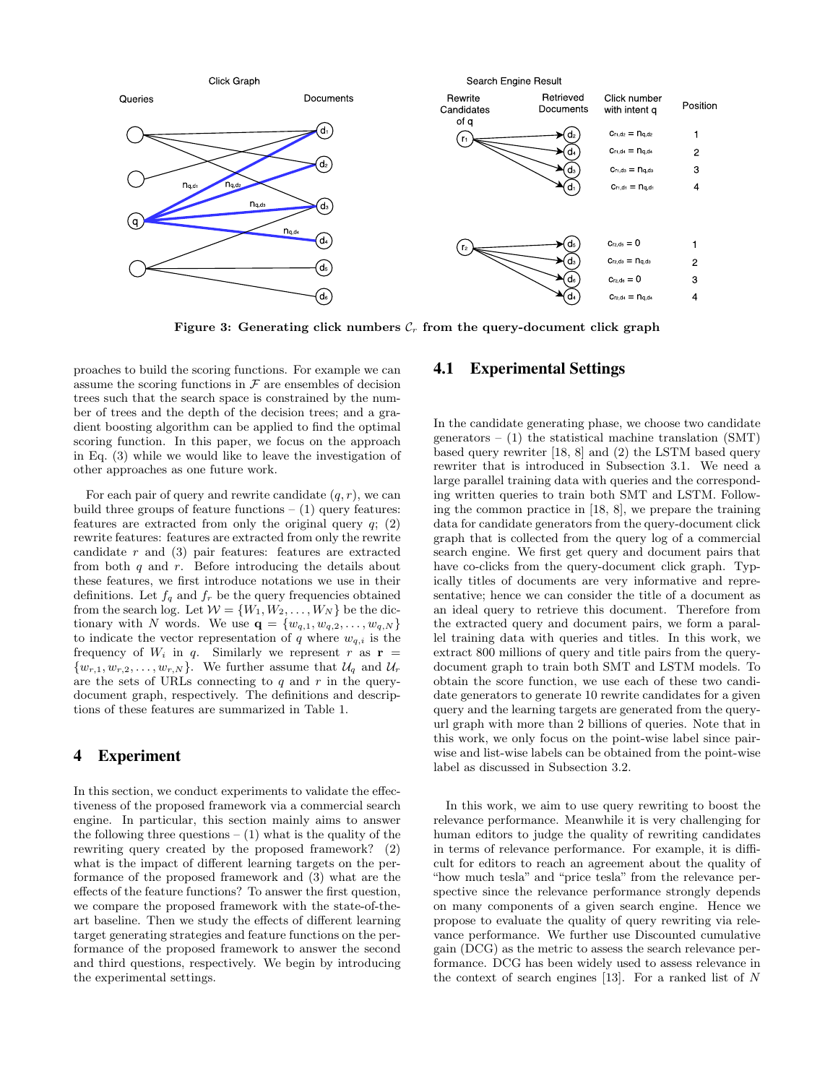

Figure 3: Generating click numbers  $C_r$  from the query-document click graph

proaches to build the scoring functions. For example we can assume the scoring functions in  $\mathcal F$  are ensembles of decision trees such that the search space is constrained by the number of trees and the depth of the decision trees; and a gradient boosting algorithm can be applied to find the optimal scoring function. In this paper, we focus on the approach in Eq. (3) while we would like to leave the investigation of other approaches as one future work.

For each pair of query and rewrite candidate  $(q, r)$ , we can build three groups of feature functions  $- (1)$  query features: features are extracted from only the original query  $q$ ; (2) rewrite features: features are extracted from only the rewrite candidate  $r$  and  $(3)$  pair features: features are extracted from both  $q$  and  $r$ . Before introducing the details about these features, we first introduce notations we use in their definitions. Let  $f_q$  and  $f_r$  be the query frequencies obtained from the search log. Let  $W = \{W_1, W_2, \ldots, W_N\}$  be the dictionary with N words. We use  $\mathbf{q} = \{w_{q,1}, w_{q,2}, \ldots, w_{q,N}\}\$ to indicate the vector representation of q where  $w_{q,i}$  is the frequency of  $W_i$  in q. Similarly we represent r as  $\mathbf{r} =$  $\{w_{r,1}, w_{r,2}, \ldots, w_{r,N}\}.$  We further assume that  $\mathcal{U}_q$  and  $\mathcal{U}_r$ are the sets of URLs connecting to  $q$  and  $r$  in the querydocument graph, respectively. The definitions and descriptions of these features are summarized in Table 1.

# 4 Experiment

In this section, we conduct experiments to validate the effectiveness of the proposed framework via a commercial search engine. In particular, this section mainly aims to answer the following three questions  $- (1)$  what is the quality of the rewriting query created by the proposed framework? (2) what is the impact of different learning targets on the performance of the proposed framework and (3) what are the effects of the feature functions? To answer the first question, we compare the proposed framework with the state-of-theart baseline. Then we study the effects of different learning target generating strategies and feature functions on the performance of the proposed framework to answer the second and third questions, respectively. We begin by introducing the experimental settings.

# 4.1 Experimental Settings

In the candidate generating phase, we choose two candidate generators –  $(1)$  the statistical machine translation  $(SMT)$ based query rewriter [18, 8] and (2) the LSTM based query rewriter that is introduced in Subsection 3.1. We need a large parallel training data with queries and the corresponding written queries to train both SMT and LSTM. Following the common practice in [18, 8], we prepare the training data for candidate generators from the query-document click graph that is collected from the query log of a commercial search engine. We first get query and document pairs that have co-clicks from the query-document click graph. Typically titles of documents are very informative and representative; hence we can consider the title of a document as an ideal query to retrieve this document. Therefore from the extracted query and document pairs, we form a parallel training data with queries and titles. In this work, we extract 800 millions of query and title pairs from the querydocument graph to train both SMT and LSTM models. To obtain the score function, we use each of these two candidate generators to generate 10 rewrite candidates for a given query and the learning targets are generated from the queryurl graph with more than 2 billions of queries. Note that in this work, we only focus on the point-wise label since pairwise and list-wise labels can be obtained from the point-wise label as discussed in Subsection 3.2.

In this work, we aim to use query rewriting to boost the relevance performance. Meanwhile it is very challenging for human editors to judge the quality of rewriting candidates in terms of relevance performance. For example, it is difficult for editors to reach an agreement about the quality of "how much tesla" and "price tesla" from the relevance perspective since the relevance performance strongly depends on many components of a given search engine. Hence we propose to evaluate the quality of query rewriting via relevance performance. We further use Discounted cumulative gain (DCG) as the metric to assess the search relevance performance. DCG has been widely used to assess relevance in the context of search engines [13]. For a ranked list of  $N$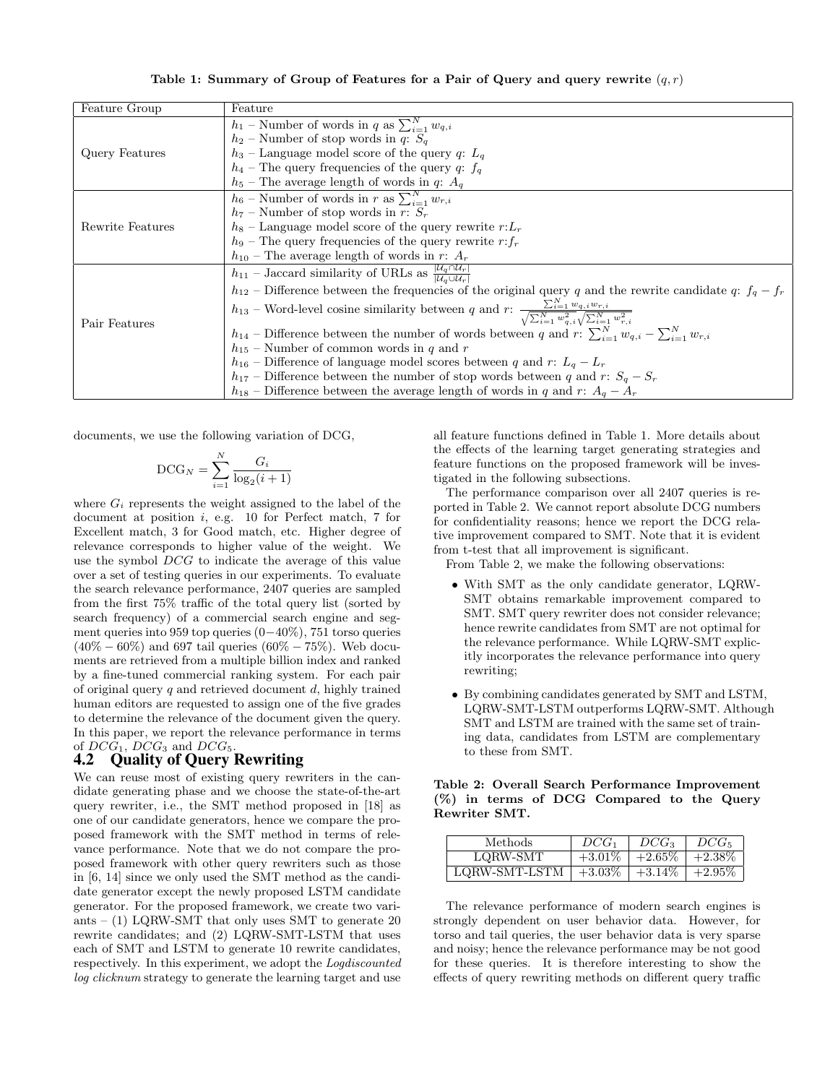Table 1: Summary of Group of Features for a Pair of Query and query rewrite  $(q, r)$ 

| Feature Group    | Feature                                                                                                                                                           |
|------------------|-------------------------------------------------------------------------------------------------------------------------------------------------------------------|
|                  | $h_1$ – Number of words in q as $\sum_{i=1}^{N} w_{q,i}$                                                                                                          |
| Query Features   | $h_2$ – Number of stop words in q: $S_q$                                                                                                                          |
|                  | $h_3$ – Language model score of the query q: $L_q$                                                                                                                |
|                  | $h_4$ – The query frequencies of the query q: $f_q$                                                                                                               |
|                  | $h_5$ – The average length of words in q: $A_q$                                                                                                                   |
|                  | $h_6$ – Number of words in r as $\sum_{i=1}^{N} w_{r,i}$                                                                                                          |
| Rewrite Features | $h_7$ – Number of stop words in r: $S_r$                                                                                                                          |
|                  | $h_8$ – Language model score of the query rewrite $r: L_r$                                                                                                        |
|                  | $h_9$ – The query frequencies of the query rewrite $r: f_r$                                                                                                       |
|                  | $h_{10}$ – The average length of words in r: $A_r$                                                                                                                |
|                  | $h_{11}$ – Jaccard similarity of URLs as $\frac{\overline{ \mathcal{U}_q \cap \mathcal{U}_r }}{ \mathcal{U}_r \cup \mathcal{U}_r }$                               |
| Pair Features    | $h_{12}$ – Difference between the frequencies of the original query q and the rewrite candidate q: $f_q - f_r$                                                    |
|                  | $h_{13}$ – Word-level cosine similarity between q and $r: \frac{\sum_{i=1}^{N} w_{q,i} w_{r,i}}{\sqrt{\sum_{i=1}^{N} w_{q,i}^2} \sqrt{\sum_{i=1}^{N} w_{r,i}^2}}$ |
|                  | $h_{14}$ – Difference between the number of words between q and $r: \sum_{i=1}^{N} w_{q,i} - \sum_{i=1}^{N} w_{r,i}$                                              |
|                  | $h_{15}$ – Number of common words in q and r                                                                                                                      |
|                  | $h_{16}$ – Difference of language model scores between q and r: $L_q - L_r$                                                                                       |
|                  | $h_{17}$ – Difference between the number of stop words between q and r: $S_q - S_r$                                                                               |
|                  | $h_{18}$ – Difference between the average length of words in q and r: $A_q - A_r$                                                                                 |

documents, we use the following variation of DCG,

$$
\text{DCG}_N = \sum_{i=1}^N \frac{G_i}{\log_2(i+1)}
$$

where  $G_i$  represents the weight assigned to the label of the document at position i, e.g. 10 for Perfect match, 7 for Excellent match, 3 for Good match, etc. Higher degree of relevance corresponds to higher value of the weight. We use the symbol DCG to indicate the average of this value over a set of testing queries in our experiments. To evaluate the search relevance performance, 2407 queries are sampled from the first 75% traffic of the total query list (sorted by search frequency) of a commercial search engine and segment queries into 959 top queries (0−40%), 751 torso queries  $(40\% - 60\%)$  and 697 tail queries  $(60\% - 75\%)$ . Web documents are retrieved from a multiple billion index and ranked by a fine-tuned commercial ranking system. For each pair of original query  $q$  and retrieved document  $d$ , highly trained human editors are requested to assign one of the five grades to determine the relevance of the document given the query. In this paper, we report the relevance performance in terms of  $DCG_1$ ,  $DCG_3$  and  $DCG_5$ .

#### 4.2 Quality of Query Rewriting

We can reuse most of existing query rewriters in the candidate generating phase and we choose the state-of-the-art query rewriter, i.e., the SMT method proposed in [18] as one of our candidate generators, hence we compare the proposed framework with the SMT method in terms of relevance performance. Note that we do not compare the proposed framework with other query rewriters such as those in [6, 14] since we only used the SMT method as the candidate generator except the newly proposed LSTM candidate generator. For the proposed framework, we create two variants –  $(1)$  LQRW-SMT that only uses SMT to generate 20 rewrite candidates; and (2) LQRW-SMT-LSTM that uses each of SMT and LSTM to generate 10 rewrite candidates, respectively. In this experiment, we adopt the Logdiscounted log clicknum strategy to generate the learning target and use

all feature functions defined in Table 1. More details about the effects of the learning target generating strategies and feature functions on the proposed framework will be investigated in the following subsections.

The performance comparison over all 2407 queries is reported in Table 2. We cannot report absolute DCG numbers for confidentiality reasons; hence we report the DCG relative improvement compared to SMT. Note that it is evident from t-test that all improvement is significant.

From Table 2, we make the following observations:

- With SMT as the only candidate generator, LQRW-SMT obtains remarkable improvement compared to SMT. SMT query rewriter does not consider relevance; hence rewrite candidates from SMT are not optimal for the relevance performance. While LQRW-SMT explicitly incorporates the relevance performance into query rewriting;
- By combining candidates generated by SMT and LSTM, LQRW-SMT-LSTM outperforms LQRW-SMT. Although SMT and LSTM are trained with the same set of training data, candidates from LSTM are complementary to these from SMT.

Table 2: Overall Search Performance Improvement (%) in terms of DCG Compared to the Query Rewriter SMT.

| Methods       | $DCG_1$   | $DCG_3$   | $DCG$ 5   |
|---------------|-----------|-----------|-----------|
| LQRW-SMT      | $+3.01\%$ | $+2.65\%$ | $+2.38\%$ |
| LQRW-SMT-LSTM | $+3.03\%$ | $+3.14\%$ | $+2.95\%$ |

The relevance performance of modern search engines is strongly dependent on user behavior data. However, for torso and tail queries, the user behavior data is very sparse and noisy; hence the relevance performance may be not good for these queries. It is therefore interesting to show the effects of query rewriting methods on different query traffic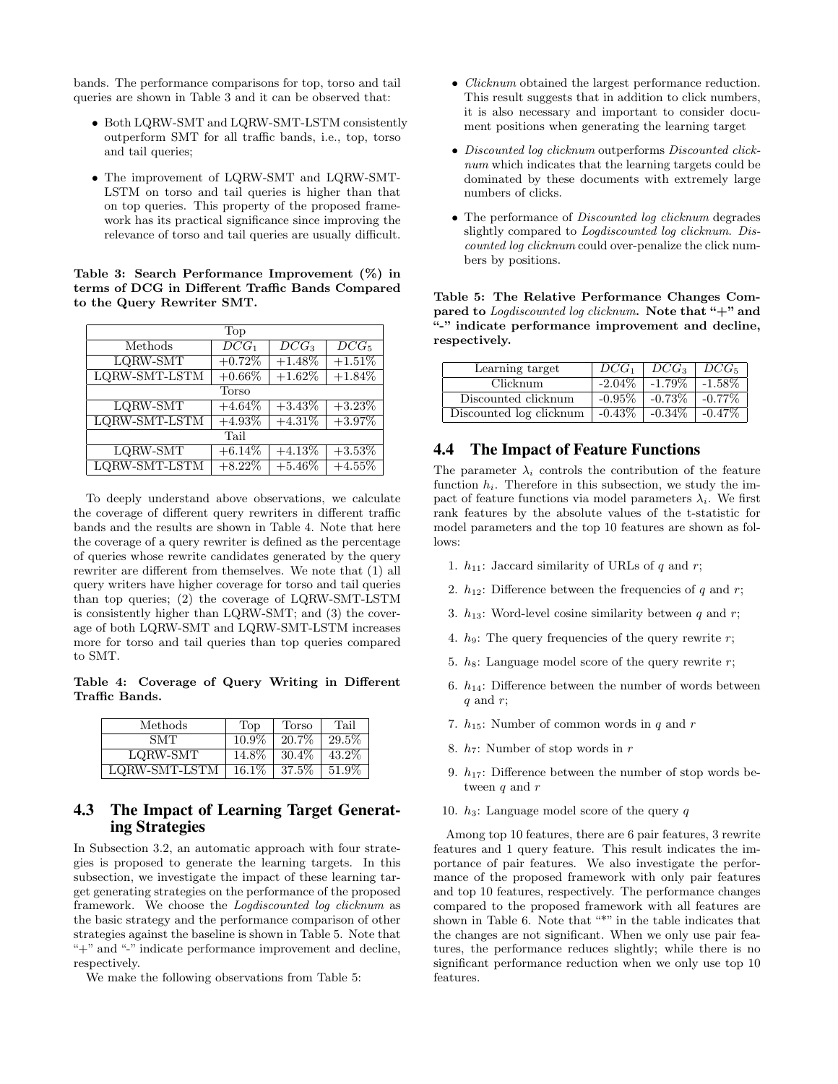bands. The performance comparisons for top, torso and tail queries are shown in Table 3 and it can be observed that:

- Both LQRW-SMT and LQRW-SMT-LSTM consistently outperform SMT for all traffic bands, i.e., top, torso and tail queries;
- The improvement of LQRW-SMT and LQRW-SMT-LSTM on torso and tail queries is higher than that on top queries. This property of the proposed framework has its practical significance since improving the relevance of torso and tail queries are usually difficult.

Table 3: Search Performance Improvement (%) in terms of DCG in Different Traffic Bands Compared to the Query Rewriter SMT.

| Top           |                    |                    |           |
|---------------|--------------------|--------------------|-----------|
| Methods       | $\overline{DCG_1}$ | $\overline{DCG_3}$ | $DCG_5$   |
| LQRW-SMT      | $+0.72%$           | $+1.48\%$          | $+1.51%$  |
| LQRW-SMT-LSTM | $+0.66\%$          | $+1.62%$           | $+1.84\%$ |
| <b>Torso</b>  |                    |                    |           |
| LQRW-SMT      | $+4.64\%$          | $+3.43\%$          | $+3.23%$  |
| LQRW-SMT-LSTM | $+4.93%$           | $+4.31%$           | $+3.97%$  |
| Tail          |                    |                    |           |
| LQRW-SMT      | $+6.14\%$          | $+4.13%$           | $+3.53\%$ |
| LQRW-SMT-LSTM | $+8.22%$           | $+5.46%$           | $+4.55%$  |

To deeply understand above observations, we calculate the coverage of different query rewriters in different traffic bands and the results are shown in Table 4. Note that here the coverage of a query rewriter is defined as the percentage of queries whose rewrite candidates generated by the query rewriter are different from themselves. We note that (1) all query writers have higher coverage for torso and tail queries than top queries; (2) the coverage of LQRW-SMT-LSTM is consistently higher than LQRW-SMT; and (3) the coverage of both LQRW-SMT and LQRW-SMT-LSTM increases more for torso and tail queries than top queries compared to SMT.

Table 4: Coverage of Query Writing in Different Traffic Bands.

| Methods       | Top      | Torso    | Tail     |
|---------------|----------|----------|----------|
| SMT           | $10.9\%$ | 20.7%    | 29.5%    |
| LQRW-SMT      | 14.8%    | $30.4\%$ | 43.2\%   |
| LQRW-SMT-LSTM | $16.1\%$ | $37.5\%$ | $51.9\%$ |

# 4.3 The Impact of Learning Target Generating Strategies

In Subsection 3.2, an automatic approach with four strategies is proposed to generate the learning targets. In this subsection, we investigate the impact of these learning target generating strategies on the performance of the proposed framework. We choose the Logdiscounted log clicknum as the basic strategy and the performance comparison of other strategies against the baseline is shown in Table 5. Note that "+" and "-" indicate performance improvement and decline, respectively.

We make the following observations from Table 5:

- *Clicknum* obtained the largest performance reduction. This result suggests that in addition to click numbers, it is also necessary and important to consider document positions when generating the learning target
- Discounted log clicknum outperforms Discounted clicknum which indicates that the learning targets could be dominated by these documents with extremely large numbers of clicks.
- The performance of *Discounted log clicknum* degrades slightly compared to Logdiscounted log clicknum. Discounted log clicknum could over-penalize the click numbers by positions.

Table 5: The Relative Performance Changes Compared to Logdiscounted log clicknum. Note that "+" and "-" indicate performance improvement and decline, respectively.

| Learning target         | $DCG_1$   | $DCG_3$   | $DCG_5$   |
|-------------------------|-----------|-----------|-----------|
| Clicknum                | $-2.04\%$ | $-1.79\%$ | $-1.58\%$ |
| Discounted clicknum     | $-0.95\%$ | $-0.73\%$ | $-0.77\%$ |
| Discounted log clicknum | $-0.43\%$ | $-0.34\%$ | $-0.47\%$ |

# 4.4 The Impact of Feature Functions

The parameter  $\lambda_i$  controls the contribution of the feature function  $h_i$ . Therefore in this subsection, we study the impact of feature functions via model parameters  $\lambda_i$ . We first rank features by the absolute values of the t-statistic for model parameters and the top 10 features are shown as follows:

- 1.  $h_{11}$ : Jaccard similarity of URLs of q and r;
- 2.  $h_{12}$ : Difference between the frequencies of q and r;
- 3.  $h_{13}$ : Word-level cosine similarity between q and r;
- 4.  $h_9$ : The query frequencies of the query rewrite r;
- 5.  $h_8$ : Language model score of the query rewrite r;
- 6.  $h_{14}$ : Difference between the number of words between  $q$  and  $r$ ;
- 7.  $h_{15}$ : Number of common words in q and r
- 8.  $h_7$ : Number of stop words in r
- 9.  $h_{17}$ : Difference between the number of stop words between q and r
- 10.  $h_3$ : Language model score of the query q

Among top 10 features, there are 6 pair features, 3 rewrite features and 1 query feature. This result indicates the importance of pair features. We also investigate the performance of the proposed framework with only pair features and top 10 features, respectively. The performance changes compared to the proposed framework with all features are shown in Table 6. Note that "\*" in the table indicates that the changes are not significant. When we only use pair features, the performance reduces slightly; while there is no significant performance reduction when we only use top 10 features.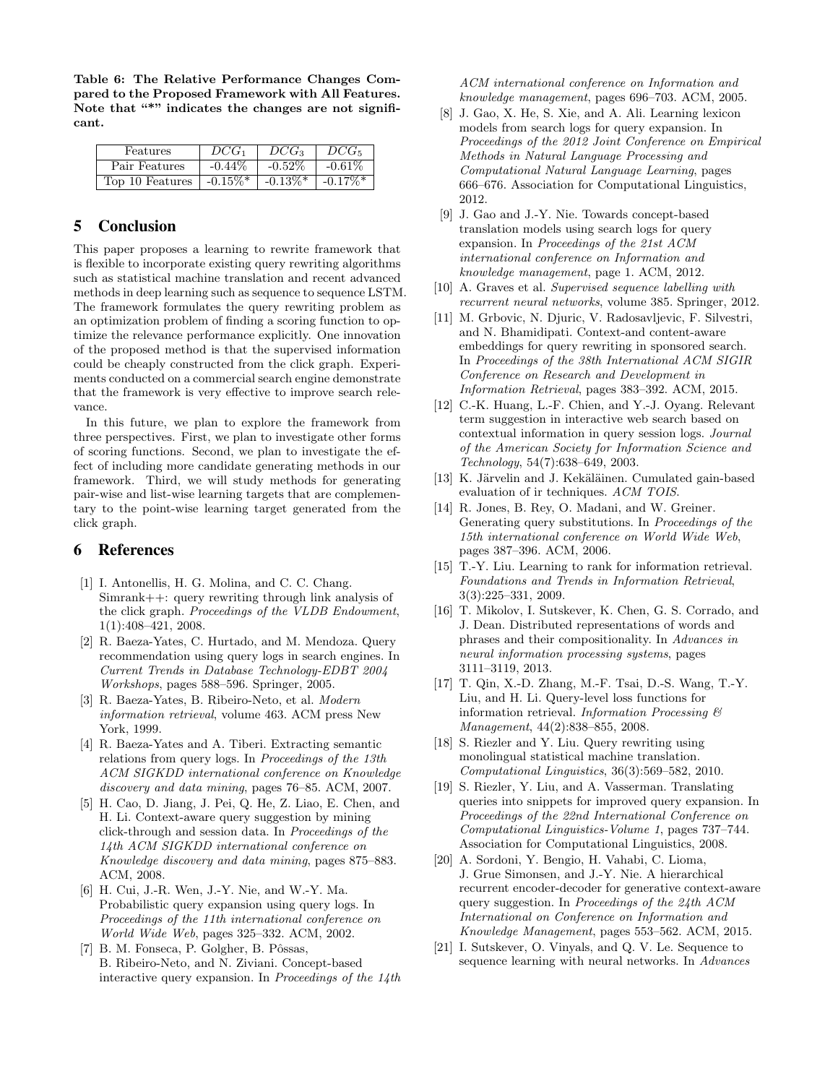Table 6: The Relative Performance Changes Compared to the Proposed Framework with All Features. Note that "\*" indicates the changes are not significant.

| Features        | $DCG_1$                | $DCG_3$                | $DCG_5$                |
|-----------------|------------------------|------------------------|------------------------|
| Pair Features   | $-0.44\%$              | $-0.52%$               | $-0.61\%$              |
| Top 10 Features | $-0.15\%$ <sup>*</sup> | $-0.13\%$ <sup>*</sup> | $-0.17\%$ <sup>*</sup> |

# 5 Conclusion

This paper proposes a learning to rewrite framework that is flexible to incorporate existing query rewriting algorithms such as statistical machine translation and recent advanced methods in deep learning such as sequence to sequence LSTM. The framework formulates the query rewriting problem as an optimization problem of finding a scoring function to optimize the relevance performance explicitly. One innovation of the proposed method is that the supervised information could be cheaply constructed from the click graph. Experiments conducted on a commercial search engine demonstrate that the framework is very effective to improve search relevance.

In this future, we plan to explore the framework from three perspectives. First, we plan to investigate other forms of scoring functions. Second, we plan to investigate the effect of including more candidate generating methods in our framework. Third, we will study methods for generating pair-wise and list-wise learning targets that are complementary to the point-wise learning target generated from the click graph.

## 6 References

- [1] I. Antonellis, H. G. Molina, and C. C. Chang. Simrank++: query rewriting through link analysis of the click graph. Proceedings of the VLDB Endowment, 1(1):408–421, 2008.
- [2] R. Baeza-Yates, C. Hurtado, and M. Mendoza. Query recommendation using query logs in search engines. In Current Trends in Database Technology-EDBT 2004 Workshops, pages 588–596. Springer, 2005.
- [3] R. Baeza-Yates, B. Ribeiro-Neto, et al. Modern information retrieval, volume 463. ACM press New York, 1999.
- [4] R. Baeza-Yates and A. Tiberi. Extracting semantic relations from query logs. In Proceedings of the 13th ACM SIGKDD international conference on Knowledge discovery and data mining, pages 76–85. ACM, 2007.
- [5] H. Cao, D. Jiang, J. Pei, Q. He, Z. Liao, E. Chen, and H. Li. Context-aware query suggestion by mining click-through and session data. In Proceedings of the 14th ACM SIGKDD international conference on Knowledge discovery and data mining, pages 875–883. ACM, 2008.
- [6] H. Cui, J.-R. Wen, J.-Y. Nie, and W.-Y. Ma. Probabilistic query expansion using query logs. In Proceedings of the 11th international conference on World Wide Web, pages 325–332. ACM, 2002.
- [7] B. M. Fonseca, P. Golgher, B. Pôssas, B. Ribeiro-Neto, and N. Ziviani. Concept-based interactive query expansion. In Proceedings of the 14th

ACM international conference on Information and knowledge management, pages 696–703. ACM, 2005.

- [8] J. Gao, X. He, S. Xie, and A. Ali. Learning lexicon models from search logs for query expansion. In Proceedings of the 2012 Joint Conference on Empirical Methods in Natural Language Processing and Computational Natural Language Learning, pages 666–676. Association for Computational Linguistics, 2012.
- [9] J. Gao and J.-Y. Nie. Towards concept-based translation models using search logs for query expansion. In Proceedings of the 21st ACM international conference on Information and knowledge management, page 1. ACM, 2012.
- [10] A. Graves et al. Supervised sequence labelling with recurrent neural networks, volume 385. Springer, 2012.
- [11] M. Grbovic, N. Djuric, V. Radosavljevic, F. Silvestri, and N. Bhamidipati. Context-and content-aware embeddings for query rewriting in sponsored search. In Proceedings of the 38th International ACM SIGIR Conference on Research and Development in Information Retrieval, pages 383–392. ACM, 2015.
- [12] C.-K. Huang, L.-F. Chien, and Y.-J. Oyang. Relevant term suggestion in interactive web search based on contextual information in query session logs. Journal of the American Society for Information Science and Technology, 54(7):638–649, 2003.
- $\left[ 13\right]$  K. Järvelin and J. Kekäläinen. Cumulated gain-based evaluation of ir techniques. ACM TOIS.
- [14] R. Jones, B. Rey, O. Madani, and W. Greiner. Generating query substitutions. In Proceedings of the 15th international conference on World Wide Web, pages 387–396. ACM, 2006.
- [15] T.-Y. Liu. Learning to rank for information retrieval. Foundations and Trends in Information Retrieval, 3(3):225–331, 2009.
- [16] T. Mikolov, I. Sutskever, K. Chen, G. S. Corrado, and J. Dean. Distributed representations of words and phrases and their compositionality. In Advances in neural information processing systems, pages 3111–3119, 2013.
- [17] T. Qin, X.-D. Zhang, M.-F. Tsai, D.-S. Wang, T.-Y. Liu, and H. Li. Query-level loss functions for information retrieval. Information Processing  $\mathcal B$ Management, 44(2):838–855, 2008.
- [18] S. Riezler and Y. Liu. Query rewriting using monolingual statistical machine translation. Computational Linguistics, 36(3):569–582, 2010.
- [19] S. Riezler, Y. Liu, and A. Vasserman. Translating queries into snippets for improved query expansion. In Proceedings of the 22nd International Conference on Computational Linguistics-Volume 1, pages 737–744. Association for Computational Linguistics, 2008.
- [20] A. Sordoni, Y. Bengio, H. Vahabi, C. Lioma, J. Grue Simonsen, and J.-Y. Nie. A hierarchical recurrent encoder-decoder for generative context-aware query suggestion. In Proceedings of the 24th ACM International on Conference on Information and Knowledge Management, pages 553–562. ACM, 2015.
- [21] I. Sutskever, O. Vinyals, and Q. V. Le. Sequence to sequence learning with neural networks. In Advances